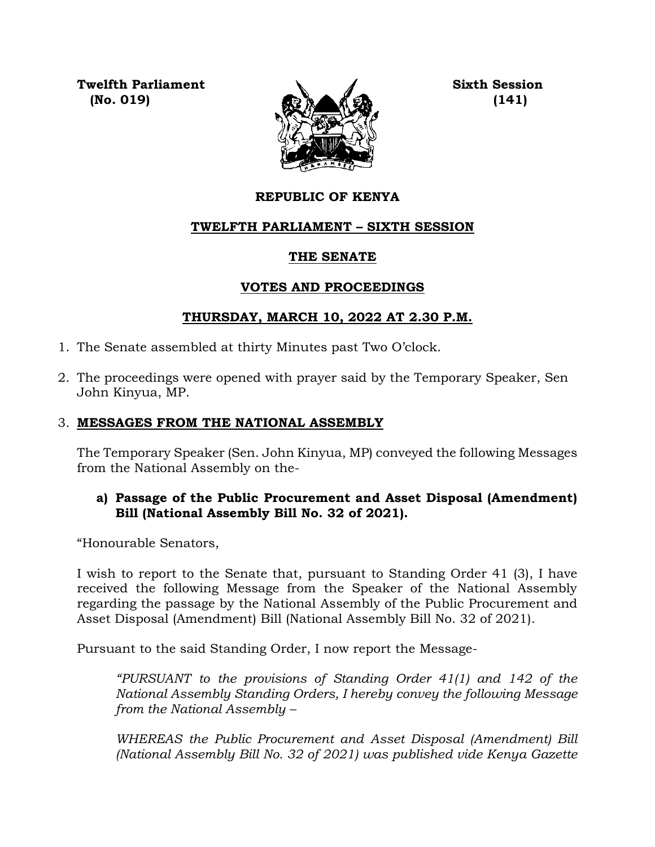**Twelfth Parliament Sixth Session**



# **REPUBLIC OF KENYA**

# **TWELFTH PARLIAMENT – SIXTH SESSION**

## **THE SENATE**

# **VOTES AND PROCEEDINGS**

# **THURSDAY, MARCH 10, 2022 AT 2.30 P.M.**

- 1. The Senate assembled at thirty Minutes past Two O'clock.
- 2. The proceedings were opened with prayer said by the Temporary Speaker, Sen John Kinyua, MP.

# 3. **MESSAGES FROM THE NATIONAL ASSEMBLY**

The Temporary Speaker (Sen. John Kinyua, MP) conveyed the following Messages from the National Assembly on the-

## **a) Passage of the Public Procurement and Asset Disposal (Amendment) Bill (National Assembly Bill No. 32 of 2021).**

"Honourable Senators,

I wish to report to the Senate that, pursuant to Standing Order 41 (3), I have received the following Message from the Speaker of the National Assembly regarding the passage by the National Assembly of the Public Procurement and Asset Disposal (Amendment) Bill (National Assembly Bill No. 32 of 2021).

Pursuant to the said Standing Order, I now report the Message-

*"PURSUANT to the provisions of Standing Order 41(1) and 142 of the National Assembly Standing Orders, I hereby convey the following Message from the National Assembly –*

*WHEREAS the Public Procurement and Asset Disposal (Amendment) Bill (National Assembly Bill No. 32 of 2021) was published vide Kenya Gazette*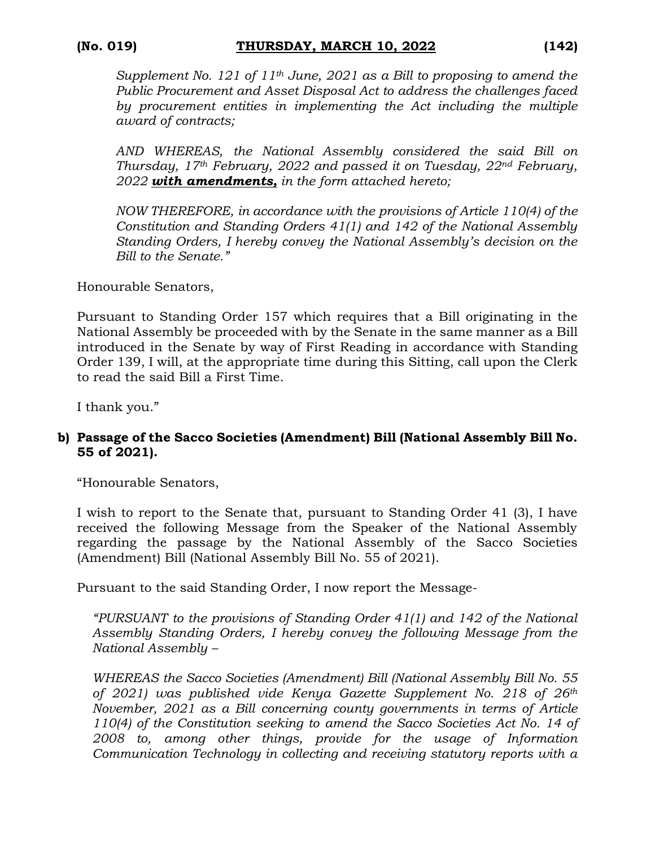*Supplement No. 121 of 11th June, 2021 as a Bill to proposing to amend the Public Procurement and Asset Disposal Act to address the challenges faced by procurement entities in implementing the Act including the multiple award of contracts;*

*AND WHEREAS, the National Assembly considered the said Bill on Thursday, 17th February, 2022 and passed it on Tuesday, 22nd February, 2022 with amendments, in the form attached hereto;*

*NOW THEREFORE, in accordance with the provisions of Article 110(4) of the Constitution and Standing Orders 41(1) and 142 of the National Assembly Standing Orders, I hereby convey the National Assembly's decision on the Bill to the Senate."*

Honourable Senators,

Pursuant to Standing Order 157 which requires that a Bill originating in the National Assembly be proceeded with by the Senate in the same manner as a Bill introduced in the Senate by way of First Reading in accordance with Standing Order 139, I will, at the appropriate time during this Sitting, call upon the Clerk to read the said Bill a First Time.

I thank you."

# **b) Passage of the Sacco Societies (Amendment) Bill (National Assembly Bill No. 55 of 2021).**

"Honourable Senators,

I wish to report to the Senate that, pursuant to Standing Order 41 (3), I have received the following Message from the Speaker of the National Assembly regarding the passage by the National Assembly of the Sacco Societies (Amendment) Bill (National Assembly Bill No. 55 of 2021).

Pursuant to the said Standing Order, I now report the Message-

*"PURSUANT to the provisions of Standing Order 41(1) and 142 of the National Assembly Standing Orders, I hereby convey the following Message from the National Assembly –*

*WHEREAS the Sacco Societies (Amendment) Bill (National Assembly Bill No. 55 of 2021) was published vide Kenya Gazette Supplement No. 218 of 26th November, 2021 as a Bill concerning county governments in terms of Article 110(4) of the Constitution seeking to amend the Sacco Societies Act No. 14 of 2008 to, among other things, provide for the usage of Information Communication Technology in collecting and receiving statutory reports with a*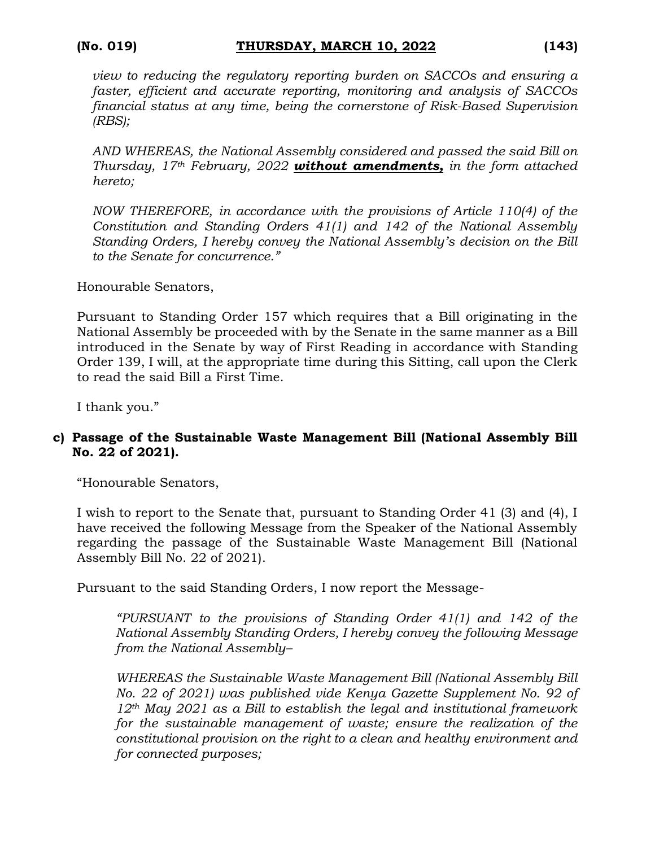*view to reducing the regulatory reporting burden on SACCOs and ensuring a faster, efficient and accurate reporting, monitoring and analysis of SACCOs financial status at any time, being the cornerstone of Risk-Based Supervision (RBS);*

*AND WHEREAS, the National Assembly considered and passed the said Bill on Thursday, 17th February, 2022 without amendments, in the form attached hereto;*

*NOW THEREFORE, in accordance with the provisions of Article 110(4) of the Constitution and Standing Orders 41(1) and 142 of the National Assembly Standing Orders, I hereby convey the National Assembly's decision on the Bill to the Senate for concurrence."*

Honourable Senators,

Pursuant to Standing Order 157 which requires that a Bill originating in the National Assembly be proceeded with by the Senate in the same manner as a Bill introduced in the Senate by way of First Reading in accordance with Standing Order 139, I will, at the appropriate time during this Sitting, call upon the Clerk to read the said Bill a First Time.

I thank you."

## **c) Passage of the Sustainable Waste Management Bill (National Assembly Bill No. 22 of 2021).**

"Honourable Senators,

I wish to report to the Senate that, pursuant to Standing Order 41 (3) and (4), I have received the following Message from the Speaker of the National Assembly regarding the passage of the Sustainable Waste Management Bill (National Assembly Bill No. 22 of 2021).

Pursuant to the said Standing Orders, I now report the Message-

*"PURSUANT to the provisions of Standing Order 41(1) and 142 of the National Assembly Standing Orders, I hereby convey the following Message from the National Assembly–*

*WHEREAS the Sustainable Waste Management Bill (National Assembly Bill No. 22 of 2021) was published vide Kenya Gazette Supplement No. 92 of 12th May 2021 as a Bill to establish the legal and institutional framework for the sustainable management of waste; ensure the realization of the constitutional provision on the right to a clean and healthy environment and for connected purposes;*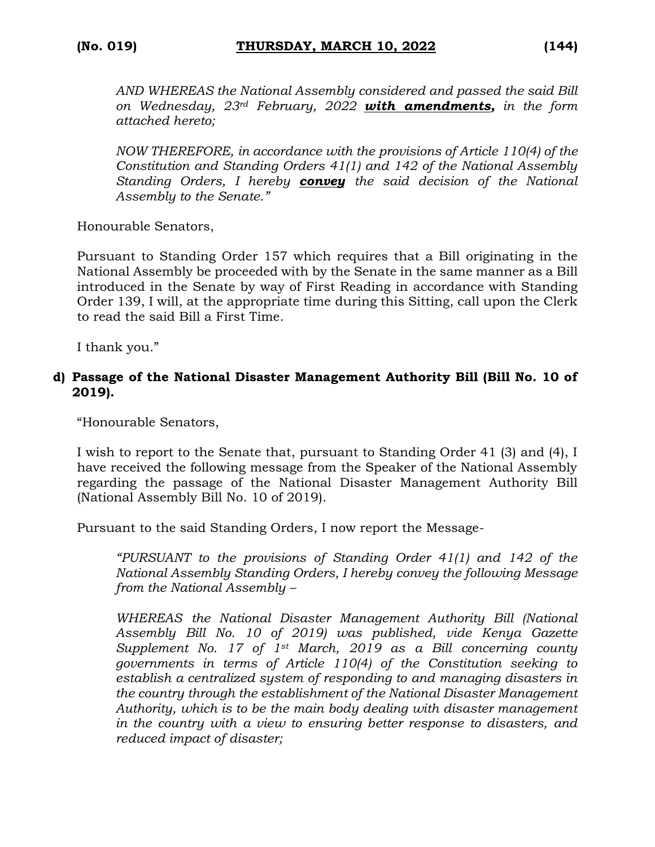*AND WHEREAS the National Assembly considered and passed the said Bill on Wednesday, 23rd February, 2022 with amendments, in the form attached hereto;*

*NOW THEREFORE, in accordance with the provisions of Article 110(4) of the Constitution and Standing Orders 41(1) and 142 of the National Assembly Standing Orders, I hereby convey the said decision of the National Assembly to the Senate."*

Honourable Senators,

Pursuant to Standing Order 157 which requires that a Bill originating in the National Assembly be proceeded with by the Senate in the same manner as a Bill introduced in the Senate by way of First Reading in accordance with Standing Order 139, I will, at the appropriate time during this Sitting, call upon the Clerk to read the said Bill a First Time.

I thank you."

#### **d) Passage of the National Disaster Management Authority Bill (Bill No. 10 of 2019).**

"Honourable Senators,

I wish to report to the Senate that, pursuant to Standing Order 41 (3) and (4), I have received the following message from the Speaker of the National Assembly regarding the passage of the National Disaster Management Authority Bill (National Assembly Bill No. 10 of 2019).

Pursuant to the said Standing Orders, I now report the Message-

*"PURSUANT to the provisions of Standing Order 41(1) and 142 of the National Assembly Standing Orders, I hereby convey the following Message from the National Assembly –*

*WHEREAS the National Disaster Management Authority Bill (National Assembly Bill No. 10 of 2019) was published, vide Kenya Gazette Supplement No. 17 of 1st March, 2019 as a Bill concerning county governments in terms of Article 110(4) of the Constitution seeking to establish a centralized system of responding to and managing disasters in the country through the establishment of the National Disaster Management Authority, which is to be the main body dealing with disaster management in the country with a view to ensuring better response to disasters, and reduced impact of disaster;*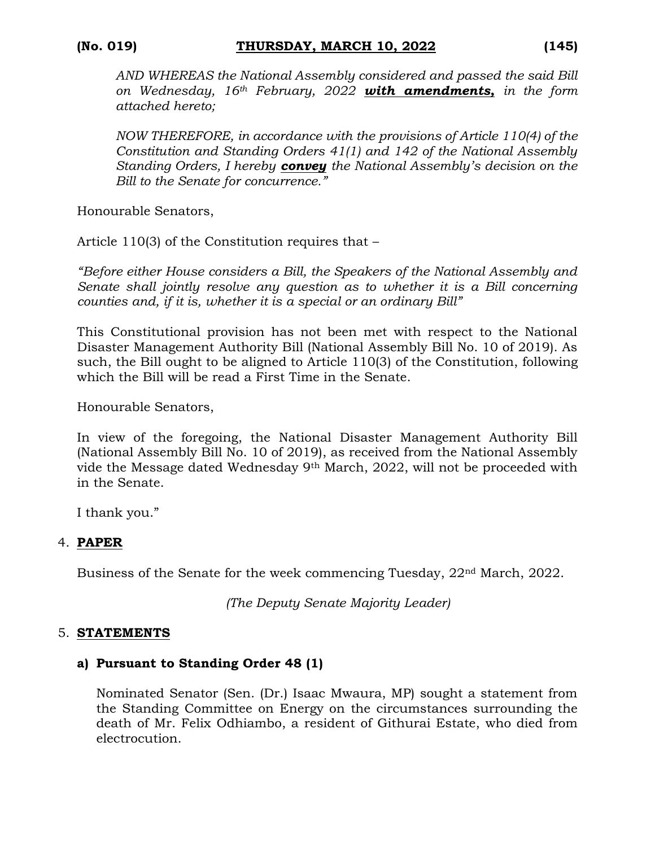*AND WHEREAS the National Assembly considered and passed the said Bill on Wednesday, 16th February, 2022 with amendments, in the form attached hereto;*

*NOW THEREFORE, in accordance with the provisions of Article 110(4) of the Constitution and Standing Orders 41(1) and 142 of the National Assembly Standing Orders, I hereby convey the National Assembly's decision on the Bill to the Senate for concurrence."*

Honourable Senators,

Article 110(3) of the Constitution requires that –

*"Before either House considers a Bill, the Speakers of the National Assembly and Senate shall jointly resolve any question as to whether it is a Bill concerning counties and, if it is, whether it is a special or an ordinary Bill"*

This Constitutional provision has not been met with respect to the National Disaster Management Authority Bill (National Assembly Bill No. 10 of 2019). As such, the Bill ought to be aligned to Article 110(3) of the Constitution, following which the Bill will be read a First Time in the Senate.

Honourable Senators,

In view of the foregoing, the National Disaster Management Authority Bill (National Assembly Bill No. 10 of 2019), as received from the National Assembly vide the Message dated Wednesday 9th March, 2022, will not be proceeded with in the Senate.

I thank you."

#### 4. **PAPER**

Business of the Senate for the week commencing Tuesday, 22nd March, 2022.

*(The Deputy Senate Majority Leader)*

#### 5. **STATEMENTS**

#### **a) Pursuant to Standing Order 48 (1)**

Nominated Senator (Sen. (Dr.) Isaac Mwaura, MP) sought a statement from the Standing Committee on Energy on the circumstances surrounding the death of Mr. Felix Odhiambo, a resident of Githurai Estate, who died from electrocution.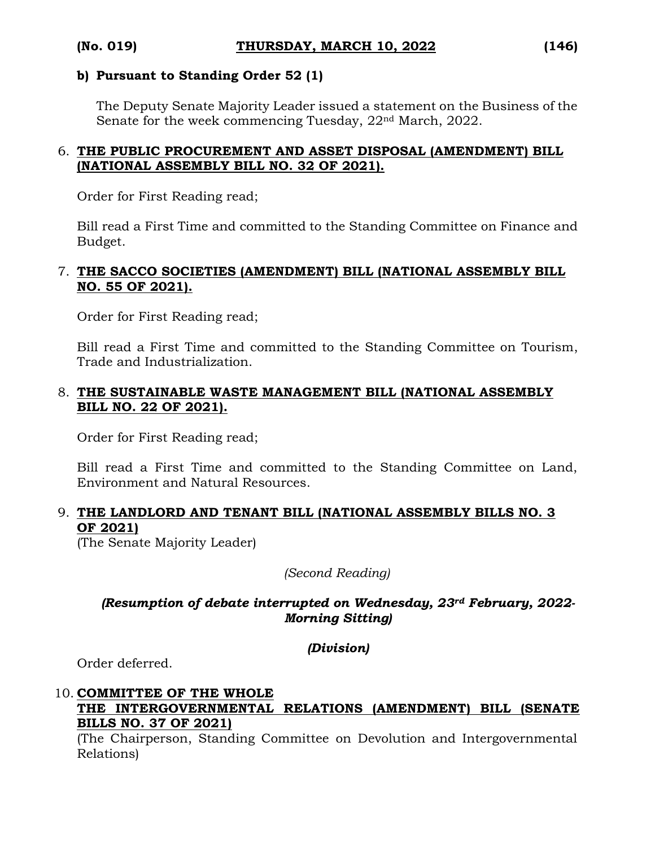#### **b) Pursuant to Standing Order 52 (1)**

The Deputy Senate Majority Leader issued a statement on the Business of the Senate for the week commencing Tuesday, 22<sup>nd</sup> March, 2022.

#### 6. **THE PUBLIC PROCUREMENT AND ASSET DISPOSAL (AMENDMENT) BILL (NATIONAL ASSEMBLY BILL NO. 32 OF 2021).**

Order for First Reading read;

Bill read a First Time and committed to the Standing Committee on Finance and Budget.

#### 7. **THE SACCO SOCIETIES (AMENDMENT) BILL (NATIONAL ASSEMBLY BILL NO. 55 OF 2021).**

Order for First Reading read;

Bill read a First Time and committed to the Standing Committee on Tourism, Trade and Industrialization.

#### 8. **THE SUSTAINABLE WASTE MANAGEMENT BILL (NATIONAL ASSEMBLY BILL NO. 22 OF 2021).**

Order for First Reading read;

Bill read a First Time and committed to the Standing Committee on Land, Environment and Natural Resources.

# 9. **THE LANDLORD AND TENANT BILL (NATIONAL ASSEMBLY BILLS NO. 3 OF 2021)**

(The Senate Majority Leader)

#### *(Second Reading)*

#### *(Resumption of debate interrupted on Wednesday, 23rd February, 2022- Morning Sitting)*

*(Division)*

Order deferred.

#### 10. **COMMITTEE OF THE WHOLE THE INTERGOVERNMENTAL RELATIONS (AMENDMENT) BILL (SENATE BILLS NO. 37 OF 2021)**

(The Chairperson, Standing Committee on Devolution and Intergovernmental Relations)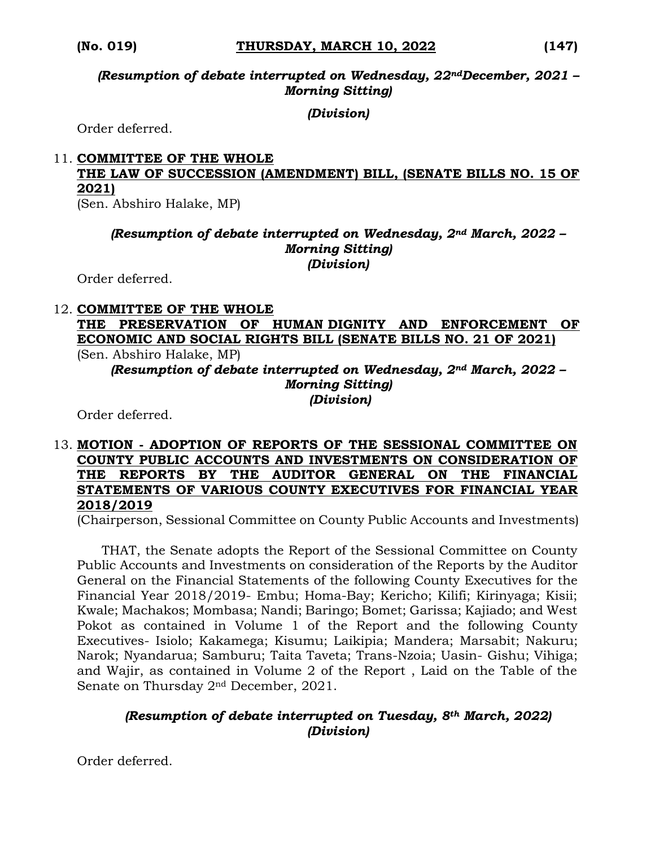*(Resumption of debate interrupted on Wednesday, 22ndDecember, 2021 – Morning Sitting)*

*(Division)*

Order deferred.

### 11. **COMMITTEE OF THE WHOLE THE LAW OF SUCCESSION (AMENDMENT) BILL, (SENATE BILLS NO. 15 OF 2021)**

(Sen. Abshiro Halake, MP)

#### *(Resumption of debate interrupted on Wednesday, 2nd March, 2022 – Morning Sitting) (Division)*

Order deferred.

#### 12. **COMMITTEE OF THE WHOLE THE PRESERVATION OF HUMAN DIGNITY AND ENFORCEMENT OF ECONOMIC AND SOCIAL RIGHTS BILL (SENATE BILLS NO. 21 OF 2021)**  (Sen. Abshiro Halake, MP)

*(Resumption of debate interrupted on Wednesday, 2nd March, 2022 – Morning Sitting) (Division)*

Order deferred.

#### 13. **MOTION - ADOPTION OF REPORTS OF THE SESSIONAL COMMITTEE ON COUNTY PUBLIC ACCOUNTS AND INVESTMENTS ON CONSIDERATION OF THE REPORTS BY THE AUDITOR GENERAL ON THE FINANCIAL STATEMENTS OF VARIOUS COUNTY EXECUTIVES FOR FINANCIAL YEAR 2018/2019**

(Chairperson, Sessional Committee on County Public Accounts and Investments)

 THAT, the Senate adopts the Report of the Sessional Committee on County Public Accounts and Investments on consideration of the Reports by the Auditor General on the Financial Statements of the following County Executives for the Financial Year 2018/2019- Embu; Homa-Bay; Kericho; Kilifi; Kirinyaga; Kisii; Kwale; Machakos; Mombasa; Nandi; Baringo; Bomet; Garissa; Kajiado; and West Pokot as contained in Volume 1 of the Report and the following County Executives- Isiolo; Kakamega; Kisumu; Laikipia; Mandera; Marsabit; Nakuru; Narok; Nyandarua; Samburu; Taita Taveta; Trans-Nzoia; Uasin- Gishu; Vihiga; and Wajir, as contained in Volume 2 of the Report , Laid on the Table of the Senate on Thursday 2nd December, 2021.

## *(Resumption of debate interrupted on Tuesday, 8th March, 2022) (Division)*

Order deferred.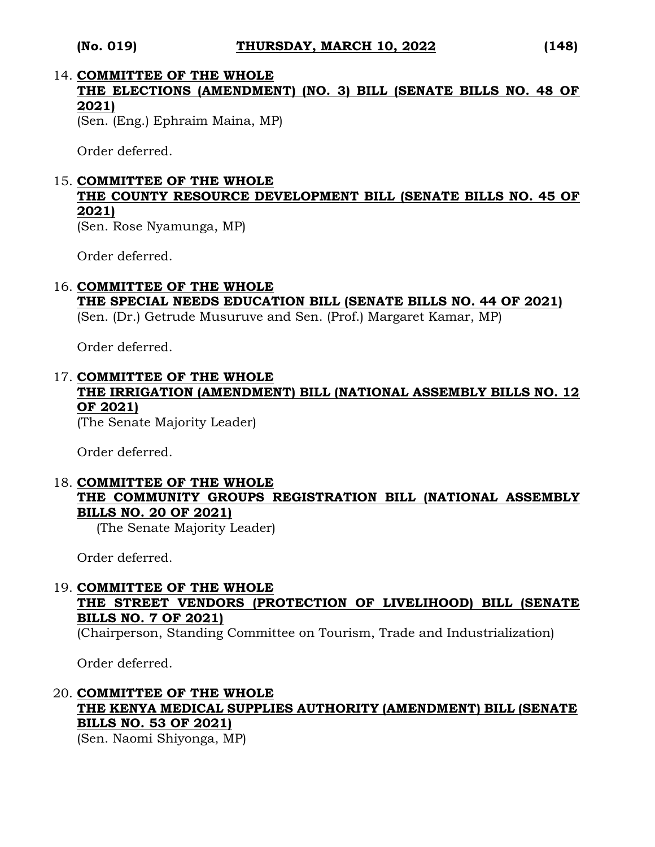# 14. **COMMITTEE OF THE WHOLE THE ELECTIONS (AMENDMENT) (NO. 3) BILL (SENATE BILLS NO. 48 OF 2021)**

(Sen. (Eng.) Ephraim Maina, MP)

Order deferred.

## 15. **COMMITTEE OF THE WHOLE**

# **THE COUNTY RESOURCE DEVELOPMENT BILL (SENATE BILLS NO. 45 OF 2021)**

(Sen. Rose Nyamunga, MP)

Order deferred.

## 16. **COMMITTEE OF THE WHOLE**

#### **THE SPECIAL NEEDS EDUCATION BILL (SENATE BILLS NO. 44 OF 2021)**  (Sen. (Dr.) Getrude Musuruve and Sen. (Prof.) Margaret Kamar, MP)

Order deferred.

#### 17. **COMMITTEE OF THE WHOLE THE IRRIGATION (AMENDMENT) BILL (NATIONAL ASSEMBLY BILLS NO. 12 OF 2021)**

(The Senate Majority Leader)

Order deferred.

### 18. **COMMITTEE OF THE WHOLE THE COMMUNITY GROUPS REGISTRATION BILL (NATIONAL ASSEMBLY BILLS NO. 20 OF 2021)**

(The Senate Majority Leader)

Order deferred.

## 19. **COMMITTEE OF THE WHOLE THE STREET VENDORS (PROTECTION OF LIVELIHOOD) BILL (SENATE BILLS NO. 7 OF 2021)**

(Chairperson, Standing Committee on Tourism, Trade and Industrialization)

Order deferred.

# 20. **COMMITTEE OF THE WHOLE THE KENYA MEDICAL SUPPLIES AUTHORITY (AMENDMENT) BILL (SENATE BILLS NO. 53 OF 2021)**

(Sen. Naomi Shiyonga, MP)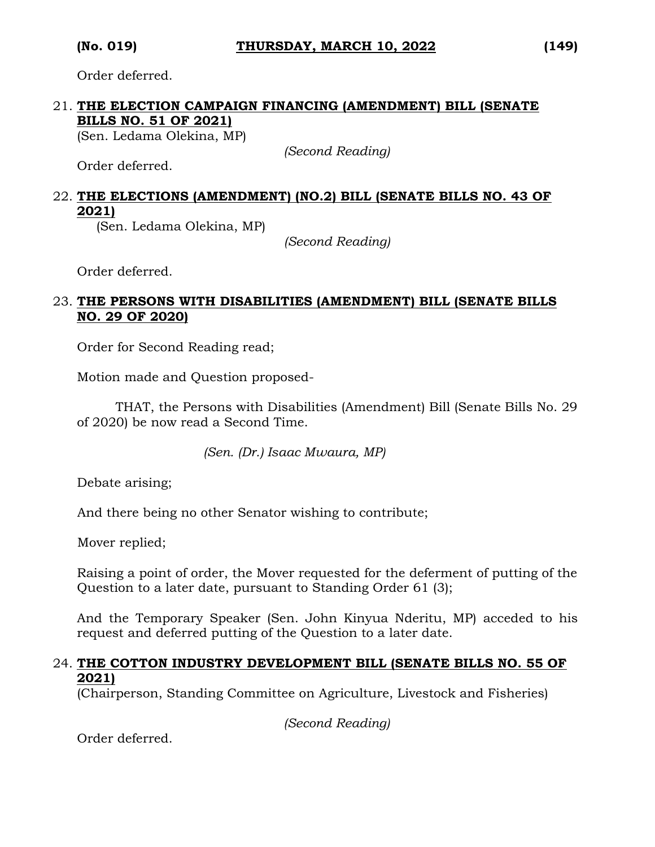Order deferred.

# 21. **THE ELECTION CAMPAIGN FINANCING (AMENDMENT) BILL (SENATE BILLS NO. 51 OF 2021)**

(Sen. Ledama Olekina, MP)

*(Second Reading)*

Order deferred.

#### 22. **THE ELECTIONS (AMENDMENT) (NO.2) BILL (SENATE BILLS NO. 43 OF 2021)**

(Sen. Ledama Olekina, MP)

*(Second Reading)*

Order deferred.

#### 23. **THE PERSONS WITH DISABILITIES (AMENDMENT) BILL (SENATE BILLS NO. 29 OF 2020)**

Order for Second Reading read;

Motion made and Question proposed-

THAT, the Persons with Disabilities (Amendment) Bill (Senate Bills No. 29 of 2020) be now read a Second Time.

*(Sen. (Dr.) Isaac Mwaura, MP)*

Debate arising;

And there being no other Senator wishing to contribute;

Mover replied;

Raising a point of order, the Mover requested for the deferment of putting of the Question to a later date, pursuant to Standing Order 61 (3);

And the Temporary Speaker (Sen. John Kinyua Nderitu, MP) acceded to his request and deferred putting of the Question to a later date.

#### 24. **THE COTTON INDUSTRY DEVELOPMENT BILL (SENATE BILLS NO. 55 OF 2021)**

(Chairperson, Standing Committee on Agriculture, Livestock and Fisheries)

*(Second Reading)*

Order deferred.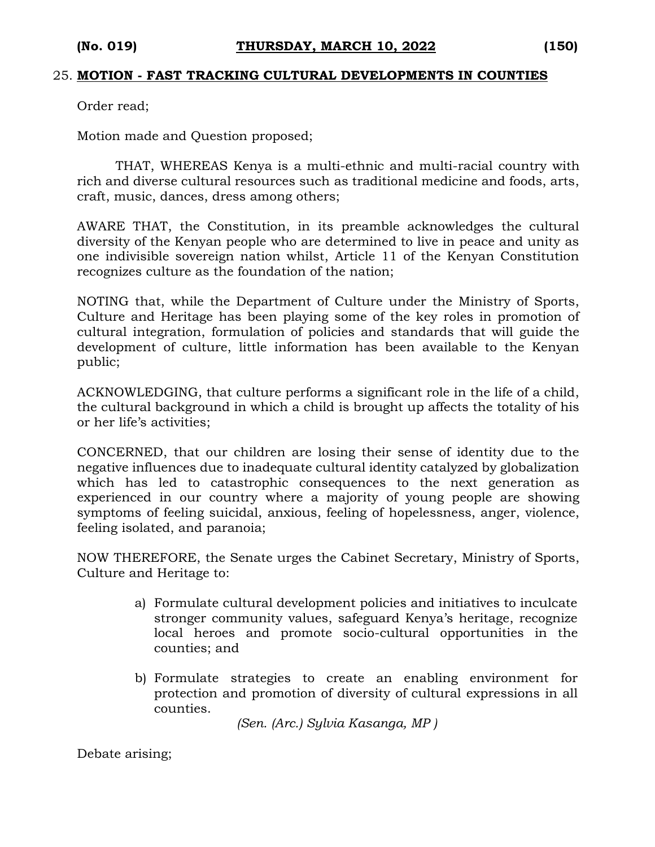#### 25. **MOTION - FAST TRACKING CULTURAL DEVELOPMENTS IN COUNTIES**

Order read;

Motion made and Question proposed;

THAT, WHEREAS Kenya is a multi-ethnic and multi-racial country with rich and diverse cultural resources such as traditional medicine and foods, arts, craft, music, dances, dress among others;

AWARE THAT, the Constitution, in its preamble acknowledges the cultural diversity of the Kenyan people who are determined to live in peace and unity as one indivisible sovereign nation whilst, Article 11 of the Kenyan Constitution recognizes culture as the foundation of the nation;

NOTING that, while the Department of Culture under the Ministry of Sports, Culture and Heritage has been playing some of the key roles in promotion of cultural integration, formulation of policies and standards that will guide the development of culture, little information has been available to the Kenyan public;

ACKNOWLEDGING, that culture performs a significant role in the life of a child, the cultural background in which a child is brought up affects the totality of his or her life's activities;

CONCERNED, that our children are losing their sense of identity due to the negative influences due to inadequate cultural identity catalyzed by globalization which has led to catastrophic consequences to the next generation as experienced in our country where a majority of young people are showing symptoms of feeling suicidal, anxious, feeling of hopelessness, anger, violence, feeling isolated, and paranoia;

NOW THEREFORE, the Senate urges the Cabinet Secretary, Ministry of Sports, Culture and Heritage to:

- a) Formulate cultural development policies and initiatives to inculcate stronger community values, safeguard Kenya's heritage, recognize local heroes and promote socio-cultural opportunities in the counties; and
- b) Formulate strategies to create an enabling environment for protection and promotion of diversity of cultural expressions in all counties.

*(Sen. (Arc.) Sylvia Kasanga, MP )*

Debate arising;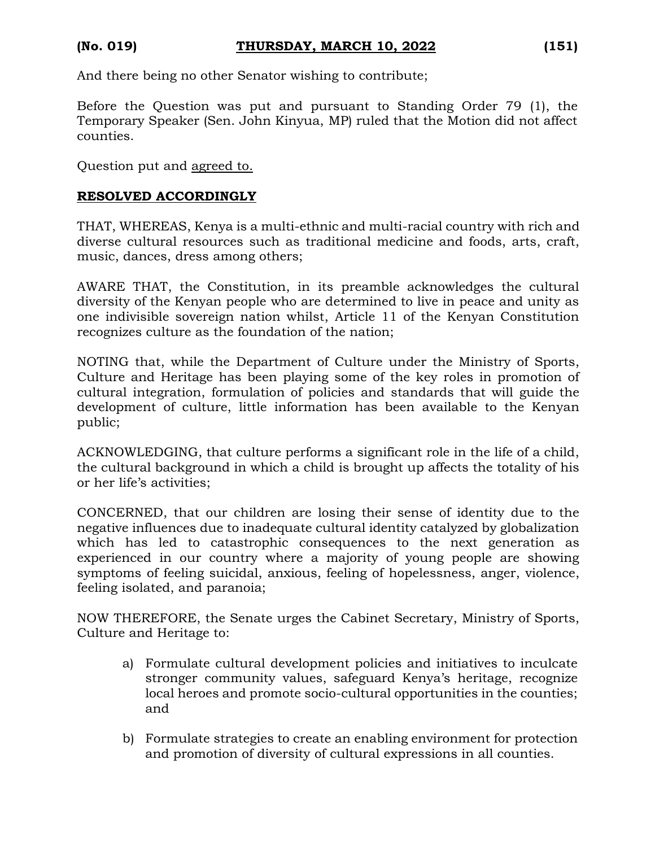And there being no other Senator wishing to contribute;

Before the Question was put and pursuant to Standing Order 79 (1), the Temporary Speaker (Sen. John Kinyua, MP) ruled that the Motion did not affect counties.

Question put and agreed to.

#### **RESOLVED ACCORDINGLY**

THAT, WHEREAS, Kenya is a multi-ethnic and multi-racial country with rich and diverse cultural resources such as traditional medicine and foods, arts, craft, music, dances, dress among others;

AWARE THAT, the Constitution, in its preamble acknowledges the cultural diversity of the Kenyan people who are determined to live in peace and unity as one indivisible sovereign nation whilst, Article 11 of the Kenyan Constitution recognizes culture as the foundation of the nation;

NOTING that, while the Department of Culture under the Ministry of Sports, Culture and Heritage has been playing some of the key roles in promotion of cultural integration, formulation of policies and standards that will guide the development of culture, little information has been available to the Kenyan public;

ACKNOWLEDGING, that culture performs a significant role in the life of a child, the cultural background in which a child is brought up affects the totality of his or her life's activities;

CONCERNED, that our children are losing their sense of identity due to the negative influences due to inadequate cultural identity catalyzed by globalization which has led to catastrophic consequences to the next generation as experienced in our country where a majority of young people are showing symptoms of feeling suicidal, anxious, feeling of hopelessness, anger, violence, feeling isolated, and paranoia;

NOW THEREFORE, the Senate urges the Cabinet Secretary, Ministry of Sports, Culture and Heritage to:

- a) Formulate cultural development policies and initiatives to inculcate stronger community values, safeguard Kenya's heritage, recognize local heroes and promote socio-cultural opportunities in the counties; and
- b) Formulate strategies to create an enabling environment for protection and promotion of diversity of cultural expressions in all counties.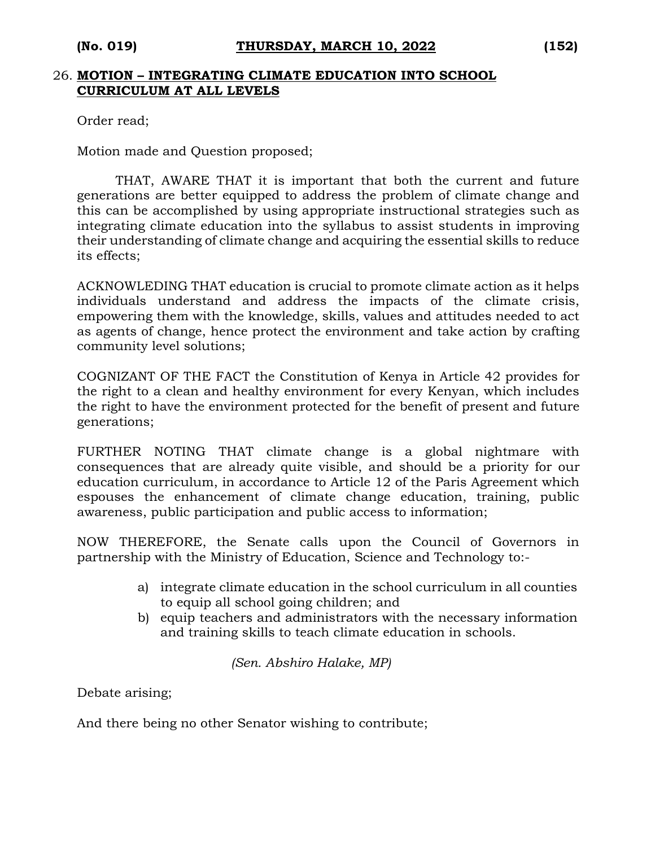#### 26. **MOTION – INTEGRATING CLIMATE EDUCATION INTO SCHOOL CURRICULUM AT ALL LEVELS**

Order read;

Motion made and Question proposed;

THAT, AWARE THAT it is important that both the current and future generations are better equipped to address the problem of climate change and this can be accomplished by using appropriate instructional strategies such as integrating climate education into the syllabus to assist students in improving their understanding of climate change and acquiring the essential skills to reduce its effects;

ACKNOWLEDING THAT education is crucial to promote climate action as it helps individuals understand and address the impacts of the climate crisis, empowering them with the knowledge, skills, values and attitudes needed to act as agents of change, hence protect the environment and take action by crafting community level solutions;

COGNIZANT OF THE FACT the Constitution of Kenya in Article 42 provides for the right to a clean and healthy environment for every Kenyan, which includes the right to have the environment protected for the benefit of present and future generations;

FURTHER NOTING THAT climate change is a global nightmare with consequences that are already quite visible, and should be a priority for our education curriculum, in accordance to Article 12 of the Paris Agreement which espouses the enhancement of climate change education, training, public awareness, public participation and public access to information;

NOW THEREFORE, the Senate calls upon the Council of Governors in partnership with the Ministry of Education, Science and Technology to:-

- a) integrate climate education in the school curriculum in all counties to equip all school going children; and
- b) equip teachers and administrators with the necessary information and training skills to teach climate education in schools.

*(Sen. Abshiro Halake, MP)*

Debate arising;

And there being no other Senator wishing to contribute;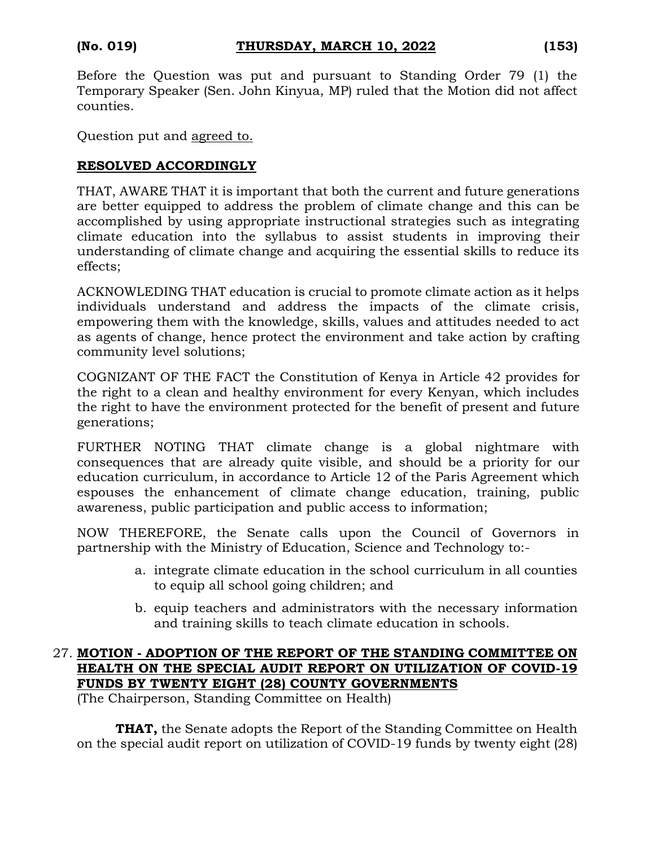Before the Question was put and pursuant to Standing Order 79 (1) the Temporary Speaker (Sen. John Kinyua, MP) ruled that the Motion did not affect counties.

Question put and agreed to.

#### **RESOLVED ACCORDINGLY**

THAT, AWARE THAT it is important that both the current and future generations are better equipped to address the problem of climate change and this can be accomplished by using appropriate instructional strategies such as integrating climate education into the syllabus to assist students in improving their understanding of climate change and acquiring the essential skills to reduce its effects;

ACKNOWLEDING THAT education is crucial to promote climate action as it helps individuals understand and address the impacts of the climate crisis, empowering them with the knowledge, skills, values and attitudes needed to act as agents of change, hence protect the environment and take action by crafting community level solutions;

COGNIZANT OF THE FACT the Constitution of Kenya in Article 42 provides for the right to a clean and healthy environment for every Kenyan, which includes the right to have the environment protected for the benefit of present and future generations;

FURTHER NOTING THAT climate change is a global nightmare with consequences that are already quite visible, and should be a priority for our education curriculum, in accordance to Article 12 of the Paris Agreement which espouses the enhancement of climate change education, training, public awareness, public participation and public access to information;

NOW THEREFORE, the Senate calls upon the Council of Governors in partnership with the Ministry of Education, Science and Technology to:-

- a. integrate climate education in the school curriculum in all counties to equip all school going children; and
- b. equip teachers and administrators with the necessary information and training skills to teach climate education in schools.

# 27. **MOTION - ADOPTION OF THE REPORT OF THE STANDING COMMITTEE ON HEALTH ON THE SPECIAL AUDIT REPORT ON UTILIZATION OF COVID-19 FUNDS BY TWENTY EIGHT (28) COUNTY GOVERNMENTS**

(The Chairperson, Standing Committee on Health)

**THAT,** the Senate adopts the Report of the Standing Committee on Health on the special audit report on utilization of COVID-19 funds by twenty eight (28)